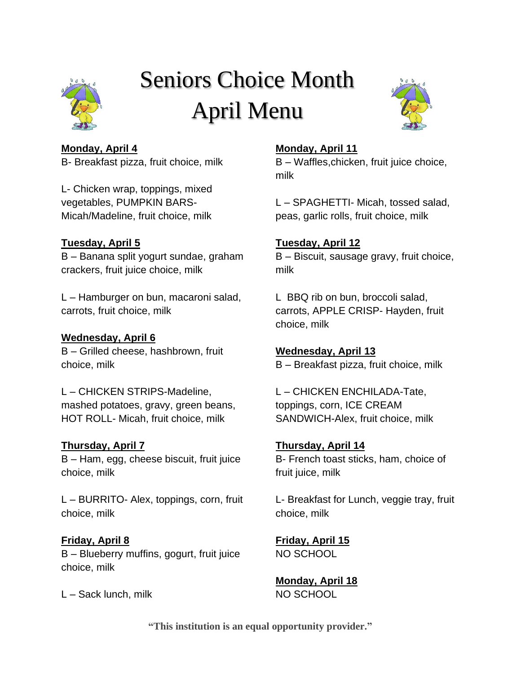

# Seniors Choice Month April Menu



## **Monday, April 4**

B- Breakfast pizza, fruit choice, milk

L- Chicken wrap, toppings, mixed vegetables, PUMPKIN BARS-Micah/Madeline, fruit choice, milk

# **Tuesday, April 5**

B – Banana split yogurt sundae, graham crackers, fruit juice choice, milk

L – Hamburger on bun, macaroni salad, carrots, fruit choice, milk

# **Wednesday, April 6**

B – Grilled cheese, hashbrown, fruit choice, milk

L – CHICKEN STRIPS-Madeline, mashed potatoes, gravy, green beans, HOT ROLL- Micah, fruit choice, milk

# **Thursday, April 7**

B – Ham, egg, cheese biscuit, fruit juice choice, milk

L – BURRITO- Alex, toppings, corn, fruit choice, milk

# **Friday, April 8**

B – Blueberry muffins, gogurt, fruit juice choice, milk

L – Sack lunch, milk

## **Monday, April 11**

B – Waffles,chicken, fruit juice choice, milk

L – SPAGHETTI- Micah, tossed salad, peas, garlic rolls, fruit choice, milk

# **Tuesday, April 12**

B – Biscuit, sausage gravy, fruit choice, milk

L BBQ rib on bun, broccoli salad, carrots, APPLE CRISP- Hayden, fruit choice, milk

**Wednesday, April 13** B – Breakfast pizza, fruit choice, milk

L – CHICKEN ENCHILADA-Tate, toppings, corn, ICE CREAM SANDWICH-Alex, fruit choice, milk

**Thursday, April 14** B- French toast sticks, ham, choice of fruit juice, milk

L- Breakfast for Lunch, veggie tray, fruit choice, milk

**Friday, April 15** NO SCHOOL

**Monday, April 18** NO SCHOOL

**"This institution is an equal opportunity provider."**